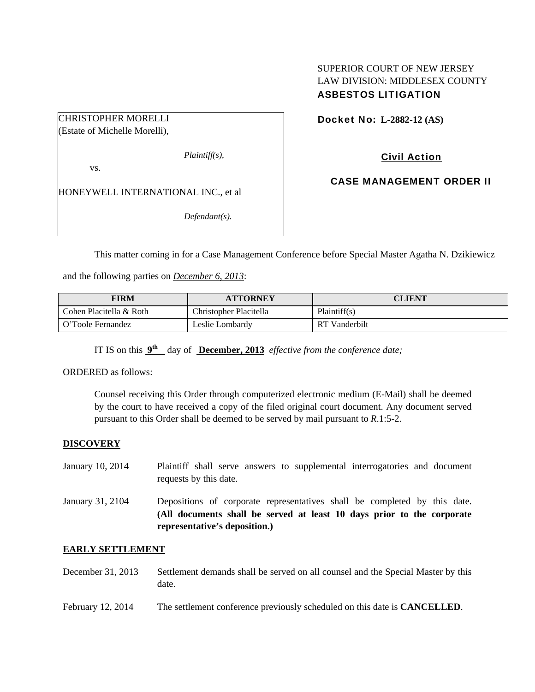## SUPERIOR COURT OF NEW JERSEY LAW DIVISION: MIDDLESEX COUNTY ASBESTOS LITIGATION

CHRISTOPHER MORELLI (Estate of Michelle Morelli),

*Plaintiff(s),* 

vs.

HONEYWELL INTERNATIONAL INC., et al

*Defendant(s).* 

Docket No: **L-2882-12 (AS)** 

Civil Action

CASE MANAGEMENT ORDER II

This matter coming in for a Case Management Conference before Special Master Agatha N. Dzikiewicz

and the following parties on *December 6, 2013*:

| FIRM                    | <b>ATTORNEY</b>        | <b>CLIENT</b> |
|-------------------------|------------------------|---------------|
| Cohen Placitella & Roth | Christopher Placitella | Plaintiff(s)  |
| O'Toole Fernandez       | Leslie Lombardv        | RT Vanderbilt |

IT IS on this **9th** day of **December, 2013** *effective from the conference date;*

ORDERED as follows:

Counsel receiving this Order through computerized electronic medium (E-Mail) shall be deemed by the court to have received a copy of the filed original court document. Any document served pursuant to this Order shall be deemed to be served by mail pursuant to *R*.1:5-2.

## **DISCOVERY**

- January 10, 2014 Plaintiff shall serve answers to supplemental interrogatories and document requests by this date.
- January 31, 2104 Depositions of corporate representatives shall be completed by this date. **(All documents shall be served at least 10 days prior to the corporate representative's deposition.)**

#### **EARLY SETTLEMENT**

- December 31, 2013 Settlement demands shall be served on all counsel and the Special Master by this date.
- February 12, 2014 The settlement conference previously scheduled on this date is **CANCELLED**.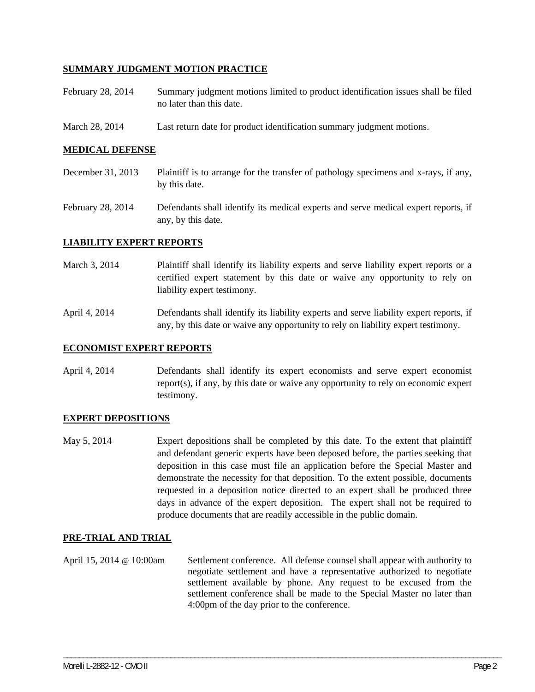## **SUMMARY JUDGMENT MOTION PRACTICE**

- February 28, 2014 Summary judgment motions limited to product identification issues shall be filed no later than this date.
- March 28, 2014 Last return date for product identification summary judgment motions.

#### **MEDICAL DEFENSE**

- December 31, 2013 Plaintiff is to arrange for the transfer of pathology specimens and x-rays, if any, by this date.
- February 28, 2014 Defendants shall identify its medical experts and serve medical expert reports, if any, by this date.

#### **LIABILITY EXPERT REPORTS**

- March 3, 2014 Plaintiff shall identify its liability experts and serve liability expert reports or a certified expert statement by this date or waive any opportunity to rely on liability expert testimony.
- April 4, 2014 Defendants shall identify its liability experts and serve liability expert reports, if any, by this date or waive any opportunity to rely on liability expert testimony.

### **ECONOMIST EXPERT REPORTS**

April 4, 2014 Defendants shall identify its expert economists and serve expert economist report(s), if any, by this date or waive any opportunity to rely on economic expert testimony.

#### **EXPERT DEPOSITIONS**

May 5, 2014 Expert depositions shall be completed by this date. To the extent that plaintiff and defendant generic experts have been deposed before, the parties seeking that deposition in this case must file an application before the Special Master and demonstrate the necessity for that deposition. To the extent possible, documents requested in a deposition notice directed to an expert shall be produced three days in advance of the expert deposition. The expert shall not be required to produce documents that are readily accessible in the public domain.

#### **PRE-TRIAL AND TRIAL**

April 15, 2014 @ 10:00am Settlement conference. All defense counsel shall appear with authority to negotiate settlement and have a representative authorized to negotiate settlement available by phone. Any request to be excused from the settlement conference shall be made to the Special Master no later than 4:00pm of the day prior to the conference.

\_\_\_\_\_\_\_\_\_\_\_\_\_\_\_\_\_\_\_\_\_\_\_\_\_\_\_\_\_\_\_\_\_\_\_\_\_\_\_\_\_\_\_\_\_\_\_\_\_\_\_\_\_\_\_\_\_\_\_\_\_\_\_\_\_\_\_\_\_\_\_\_\_\_\_\_\_\_\_\_\_\_\_\_\_\_\_\_\_\_\_\_\_\_\_\_\_\_\_\_\_\_\_\_\_\_\_\_\_\_